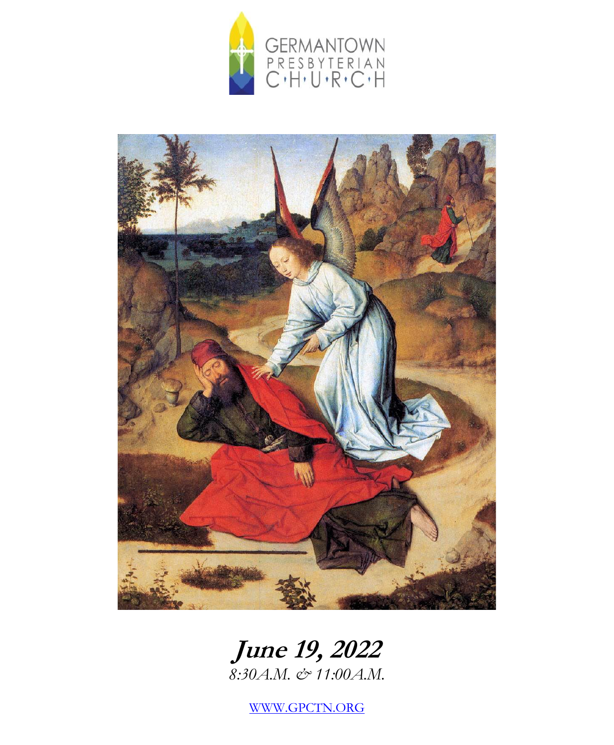



# **June 19, 2022**

*8:30A.M. & 11:00A.M.*

[WWW.GPCTN.ORG](http://www.gpctn.org/)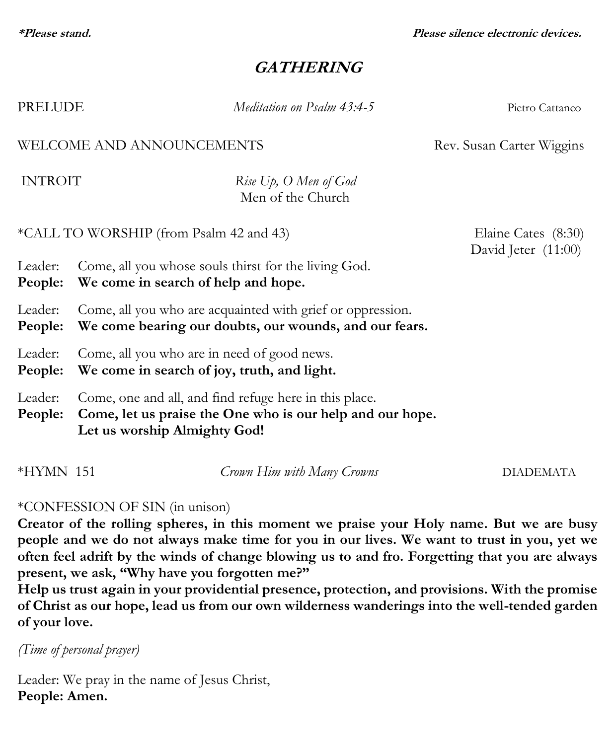**\*Please stand. Please silence electronic devices.**

## **GATHERING**

| PRELUDE                                                |                                                                                                                                                     | Meditation on Psalm 43:4-5                 | Pietro Cattaneo                              |  |
|--------------------------------------------------------|-----------------------------------------------------------------------------------------------------------------------------------------------------|--------------------------------------------|----------------------------------------------|--|
| WELCOME AND ANNOUNCEMENTS<br>Rev. Susan Carter Wiggins |                                                                                                                                                     |                                            |                                              |  |
| <b>INTROIT</b>                                         |                                                                                                                                                     | Rise Up, O Men of God<br>Men of the Church |                                              |  |
| *CALL TO WORSHIP (from Psalm 42 and 43)                |                                                                                                                                                     |                                            | Elaine Cates (8:30)<br>David Jeter $(11:00)$ |  |
| Leader:<br>People:                                     | Come, all you whose souls thirst for the living God.<br>We come in search of help and hope.                                                         |                                            |                                              |  |
| Leader:<br>People:                                     | Come, all you who are acquainted with grief or oppression.<br>We come bearing our doubts, our wounds, and our fears.                                |                                            |                                              |  |
| Leader:<br>People:                                     | Come, all you who are in need of good news.<br>We come in search of joy, truth, and light.                                                          |                                            |                                              |  |
| Leader:<br>People:                                     | Come, one and all, and find refuge here in this place.<br>Come, let us praise the One who is our help and our hope.<br>Let us worship Almighty God! |                                            |                                              |  |

# \*CONFESSION OF SIN (in unison)

**Creator of the rolling spheres, in this moment we praise your Holy name. But we are busy people and we do not always make time for you in our lives. We want to trust in you, yet we often feel adrift by the winds of change blowing us to and fro. Forgetting that you are always present, we ask, "Why have you forgotten me?"**

\*HYMN 151 *Crown Him with Many Crowns* DIADEMATA

**Help us trust again in your providential presence, protection, and provisions. With the promise of Christ as our hope, lead us from our own wilderness wanderings into the well-tended garden of your love.** 

*(Time of personal prayer)*

Leader: We pray in the name of Jesus Christ, **People: Amen.**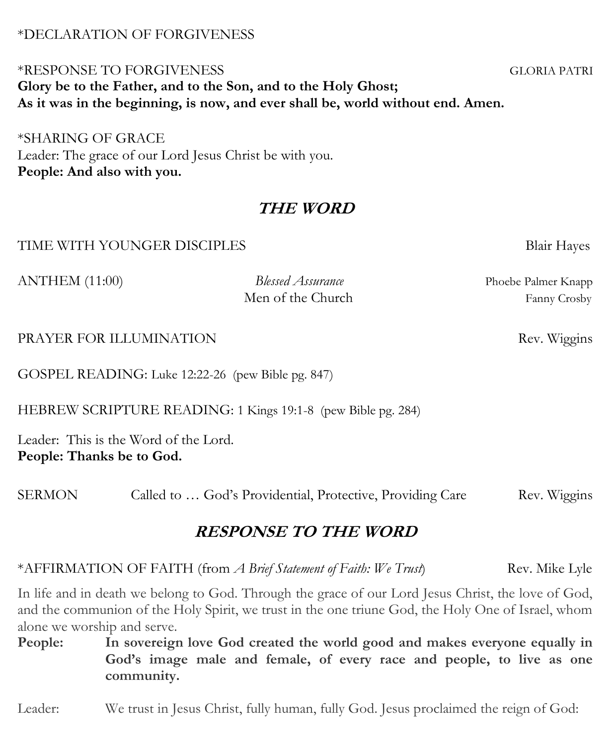#### \*DECLARATION OF FORGIVENESS

## \*RESPONSE TO FORGIVENESS GLORIA PATRI **Glory be to the Father, and to the Son, and to the Holy Ghost; As it was in the beginning, is now, and ever shall be, world without end. Amen.**

\*SHARING OF GRACE Leader: The grace of our Lord Jesus Christ be with you. **People: And also with you.**

## **THE WORD**

#### TIME WITH YOUNGER DISCIPLES Blair Hayes

ANTHEM (11:00) *Blessed Assurance* Phoebe Palmer Knapp

Men of the Church Fanny Crosby

#### PRAYER FOR ILLUMINATION Rev. Wiggins

GOSPEL READING: Luke 12:22-26 (pew Bible pg. 847)

HEBREW SCRIPTURE READING: 1 Kings 19:1-8 (pew Bible pg. 284)

Leader: This is the Word of the Lord. **People: Thanks be to God.**

SERMON Called to ... God's Providential, Protective, Providing Care Rev. Wiggins

## **RESPONSE TO THE WORD**

\*AFFIRMATION OF FAITH (from *A Brief Statement of Faith: We Trust*) Rev. Mike Lyle

In life and in death we belong to God. Through the grace of our Lord Jesus Christ, the love of God, and the communion of the Holy Spirit, we trust in the one triune God, the Holy One of Israel, whom alone we worship and serve.

**People: In sovereign love God created the world good and makes everyone equally in God's image male and female, of every race and people, to live as one community.**

Leader: We trust in Jesus Christ, fully human, fully God. Jesus proclaimed the reign of God: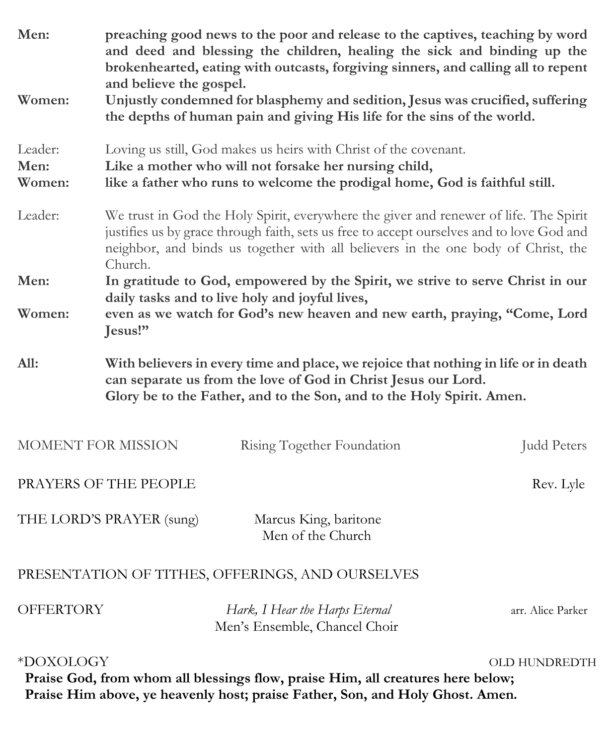| Men:                                                                                                                                                                                           | preaching good news to the poor and release to the captives, teaching by word<br>and deed and blessing the children, healing the sick and binding up the<br>brokenhearted, eating with outcasts, forgiving sinners, and calling all to repent<br>and believe the gospel.           |                                                                 |                    |  |
|------------------------------------------------------------------------------------------------------------------------------------------------------------------------------------------------|------------------------------------------------------------------------------------------------------------------------------------------------------------------------------------------------------------------------------------------------------------------------------------|-----------------------------------------------------------------|--------------------|--|
| Women:                                                                                                                                                                                         | Unjustly condemned for blasphemy and sedition, Jesus was crucified, suffering<br>the depths of human pain and giving His life for the sins of the world.                                                                                                                           |                                                                 |                    |  |
| Leader:<br>Men:<br>Women:                                                                                                                                                                      | Loving us still, God makes us heirs with Christ of the covenant.<br>Like a mother who will not forsake her nursing child,<br>like a father who runs to welcome the prodigal home, God is faithful still.                                                                           |                                                                 |                    |  |
| Leader:                                                                                                                                                                                        | We trust in God the Holy Spirit, everywhere the giver and renewer of life. The Spirit<br>justifies us by grace through faith, sets us free to accept ourselves and to love God and<br>neighbor, and binds us together with all believers in the one body of Christ, the<br>Church. |                                                                 |                    |  |
| Men:                                                                                                                                                                                           | In gratitude to God, empowered by the Spirit, we strive to serve Christ in our                                                                                                                                                                                                     |                                                                 |                    |  |
| Women:                                                                                                                                                                                         | daily tasks and to live holy and joyful lives,<br>even as we watch for God's new heaven and new earth, praying, "Come, Lord<br>Jesus!"                                                                                                                                             |                                                                 |                    |  |
| All:                                                                                                                                                                                           | With believers in every time and place, we rejoice that nothing in life or in death<br>can separate us from the love of God in Christ Jesus our Lord.<br>Glory be to the Father, and to the Son, and to the Holy Spirit. Amen.                                                     |                                                                 |                    |  |
| MOMENT FOR MISSION                                                                                                                                                                             |                                                                                                                                                                                                                                                                                    | Rising Together Foundation                                      | <b>Judd Peters</b> |  |
| PRAYERS OF THE PEOPLE<br>Rev. Lyle                                                                                                                                                             |                                                                                                                                                                                                                                                                                    |                                                                 |                    |  |
| THE LORD'S PRAYER (sung)                                                                                                                                                                       |                                                                                                                                                                                                                                                                                    | Marcus King, baritone<br>Men of the Church                      |                    |  |
|                                                                                                                                                                                                |                                                                                                                                                                                                                                                                                    | PRESENTATION OF TITHES, OFFERINGS, AND OURSELVES                |                    |  |
| OFFERTORY                                                                                                                                                                                      |                                                                                                                                                                                                                                                                                    | Hark, I Hear the Harps Eternal<br>Men's Ensemble, Chancel Choir | arr. Alice Parker  |  |
| *DOXOLOGY<br>OLD HUNDREDTH<br>Praise God, from whom all blessings flow, praise Him, all creatures here below;<br>Praise Him above, ye heavenly host; praise Father, Son, and Holy Ghost. Amen. |                                                                                                                                                                                                                                                                                    |                                                                 |                    |  |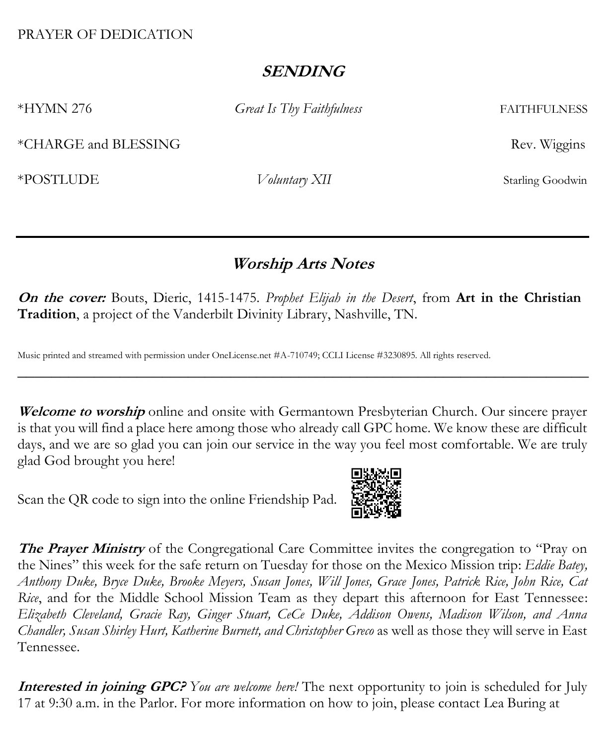#### PRAYER OF DEDICATION

## **SENDING**

\*HYMN 276 *Great Is Thy Faithfulness* FAITHFULNESS

\*CHARGE and BLESSING Rev. Wiggins

\*POSTLUDE *Voluntary XII* Starling Goodwin

# **Worship Arts Notes**

**On the cover:** Bouts, Dieric, 1415-1475. *Prophet Elijah in the Desert*, from **Art in the Christian Tradition**, a project of the Vanderbilt Divinity Library, Nashville, TN.

Music printed and streamed with permission under OneLicense.net #A-710749; CCLI License #3230895. All rights reserved.

Welcome to worship online and onsite with Germantown Presbyterian Church. Our sincere prayer is that you will find a place here among those who already call GPC home. We know these are difficult days, and we are so glad you can join our service in the way you feel most comfortable. We are truly glad God brought you here!

\_\_\_\_\_\_\_\_\_\_\_\_\_\_\_\_\_\_\_\_\_\_\_\_\_\_\_\_\_\_\_\_\_\_\_\_\_\_\_\_\_\_\_\_\_\_\_\_\_\_\_\_\_\_\_\_\_\_\_\_\_\_\_\_\_\_\_

Scan the QR code to sign into the online Friendship Pad.



**The Prayer Ministry** of the Congregational Care Committee invites the congregation to "Pray on the Nines" this week for the safe return on Tuesday for those on the Mexico Mission trip: *Eddie Batey, Anthony Duke, Bryce Duke, Brooke Meyers, Susan Jones, Will Jones, Grace Jones, Patrick Rice, John Rice, Cat Rice*, and for the Middle School Mission Team as they depart this afternoon for East Tennessee: *Elizabeth Cleveland, Gracie Ray, Ginger Stuart, CeCe Duke, Addison Owens, Madison Wilson, and Anna Chandler, Susan Shirley Hurt, Katherine Burnett, and Christopher Greco* as well as those they will serve in East Tennessee.

**Interested in joining GPC?** *You are welcome here!* The next opportunity to join is scheduled for July 17 at 9:30 a.m. in the Parlor. For more information on how to join, please contact Lea Buring at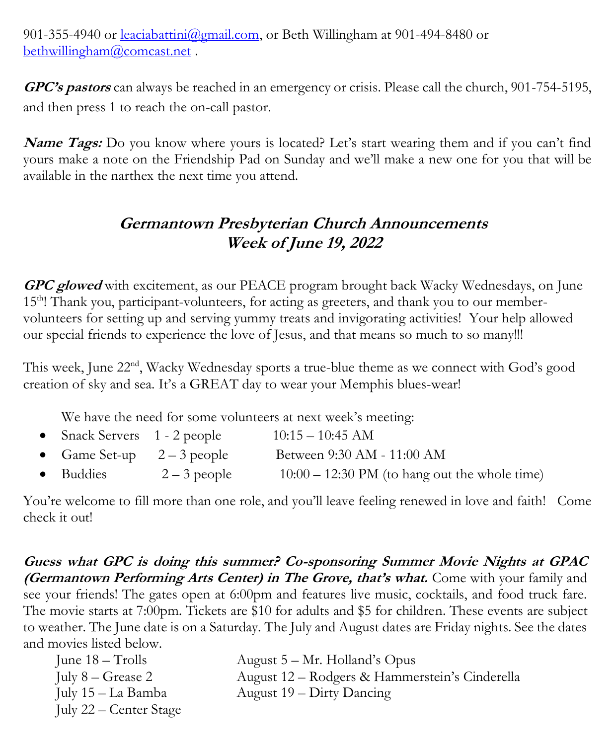901-355-4940 or [leaciabattini@gmail.com,](mailto:leaciabattini@gmail.com) or Beth Willingham at 901-494-8480 or [bethwillingham@comcast.net](mailto:bethwillingham@comcast.net) .

**GPC's pastors** can always be reached in an emergency or crisis. Please call the church, 901-754-5195, and then press 1 to reach the on-call pastor.

**Name Tags:** Do you know where yours is located? Let's start wearing them and if you can't find yours make a note on the Friendship Pad on Sunday and we'll make a new one for you that will be available in the narthex the next time you attend.

# **Germantown Presbyterian Church Announcements Week of June 19, 2022**

**GPC glowed** with excitement, as our PEACE program brought back Wacky Wednesdays, on June 15<sup>th</sup>! Thank you, participant-volunteers, for acting as greeters, and thank you to our membervolunteers for setting up and serving yummy treats and invigorating activities! Your help allowed our special friends to experience the love of Jesus, and that means so much to so many!!!

This week, June 22<sup>nd</sup>, Wacky Wednesday sports a true-blue theme as we connect with God's good creation of sky and sea. It's a GREAT day to wear your Memphis blues-wear!

We have the need for some volunteers at next week's meeting:

| • Snack Servers $1 - 2$ people |              | $10:15-10:45$ AM                                        |
|--------------------------------|--------------|---------------------------------------------------------|
| • Game Set-up $2-3$ people     |              | Between 9:30 AM - 11:00 AM                              |
| $\bullet$ Buddies              | $2-3$ people | $10:00 - 12:30 \text{ PM}$ (to hang out the whole time) |

You're welcome to fill more than one role, and you'll leave feeling renewed in love and faith! Come check it out!

**Guess what GPC is doing this summer? Co-sponsoring Summer Movie Nights at GPAC (Germantown Performing Arts Center) in The Grove, that's what.** Come with your family and see your friends! The gates open at 6:00pm and features live music, cocktails, and food truck fare. The movie starts at 7:00pm. Tickets are \$10 for adults and \$5 for children. These events are subject to weather. The June date is on a Saturday. The July and August dates are Friday nights. See the dates and movies listed below.

| June $18 -$ Trolls          | August $5 - Mr.$ Holland's Opus                |
|-----------------------------|------------------------------------------------|
| July $8 - \text{Grease } 2$ | August 12 – Rodgers & Hammerstein's Cinderella |
| July 15 – La Bamba          | August $19 -$ Dirty Dancing                    |
| July 22 – Center Stage      |                                                |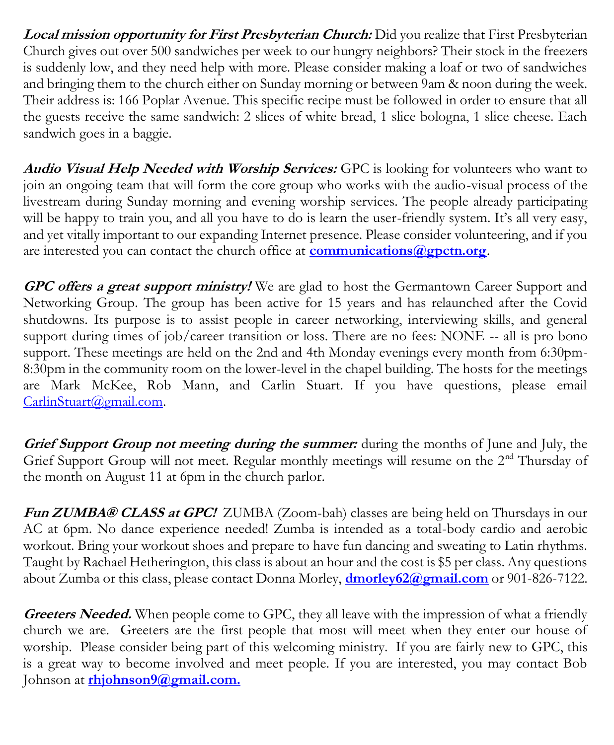**Local mission opportunity for First Presbyterian Church:** Did you realize that First Presbyterian Church gives out over 500 sandwiches per week to our hungry neighbors? Their stock in the freezers is suddenly low, and they need help with more. Please consider making a loaf or two of sandwiches and bringing them to the church either on Sunday morning or between 9am & noon during the week. Their address is: 166 Poplar Avenue. This specific recipe must be followed in order to ensure that all the guests receive the same sandwich: 2 slices of white bread, 1 slice bologna, 1 slice cheese. Each sandwich goes in a baggie.

**Audio Visual Help Needed with Worship Services:** GPC is looking for volunteers who want to join an ongoing team that will form the core group who works with the audio-visual process of the livestream during Sunday morning and evening worship services. The people already participating will be happy to train you, and all you have to do is learn the user-friendly system. It's all very easy, and yet vitally important to our expanding Internet presence. Please consider volunteering, and if you are interested you can contact the church office at **[communications@gpctn.org](mailto:communications@gpctn.org)**.

**GPC offers a great support ministry!** We are glad to host the Germantown Career Support and Networking Group. The group has been active for 15 years and has relaunched after the Covid shutdowns. Its purpose is to assist people in career networking, interviewing skills, and general support during times of job/career transition or loss. There are no fees: NONE -- all is pro bono support. These meetings are held on the 2nd and 4th Monday evenings every month from 6:30pm-8:30pm in the community room on the lower-level in the chapel building. The hosts for the meetings are Mark McKee, Rob Mann, and Carlin Stuart. If you have questions, please email [CarlinStuart@gmail.com.](mailto:CarlinStuart@gmail.com)

**Grief Support Group not meeting during the summer:** during the months of June and July, the Grief Support Group will not meet. Regular monthly meetings will resume on the 2<sup>nd</sup> Thursday of the month on August 11 at 6pm in the church parlor.

Fun ZUMBA® CLASS at GPC! ZUMBA (Zoom-bah) classes are being held on Thursdays in our AC at 6pm. No dance experience needed! Zumba is intended as a total-body cardio and aerobic workout. Bring your workout shoes and prepare to have fun dancing and sweating to Latin rhythms. Taught by Rachael Hetherington, this class is about an hour and the cost is \$5 per class. Any questions about Zumba or this class, please contact Donna Morley, **[dmorley62@gmail.com](mailto:dmorley62@gmail.com)** or 901-826-7122.

Greeters Needed. When people come to GPC, they all leave with the impression of what a friendly church we are. Greeters are the first people that most will meet when they enter our house of worship. Please consider being part of this welcoming ministry. If you are fairly new to GPC, this is a great way to become involved and meet people. If you are interested, you may contact Bob Johnson at **[rhjohnson9@gmail.com.](mailto:rhjohnson9@gmail.com)**